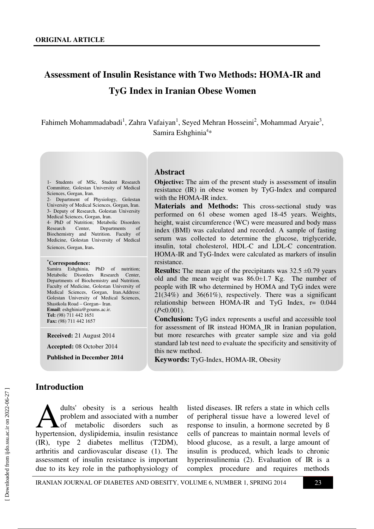# **Assessment of Insulin Resistance with Two Methods: HOMA-IR and TyG Index in Iranian Obese Women**

Fahimeh Mohammadabadi<sup>1</sup>, Zahra Vafaiyan<sup>1</sup>, Seyed Mehran Hosseini<sup>2</sup>, Mohammad Aryaie<sup>3</sup>, Samira Eshghinia<sup>4\*</sup>

#### **Abstract**

1- Students of MSc, Student Research Committee, Golestan University of Medical Sciences, Gorgan, Iran.

2- Department of Physiology, Golestan University of Medical Sciences, Gorgan, Iran. 3- Deputy of Research, Golestan University Medical Sciences, Gorgan, Iran. 4- PhD of Nutrition; Metabolic Disorders

Research Center, Departments of Biochemistry and Nutrition. Faculty of Medicine, Golestan University of Medical Sciences, Gorgan, Iran.

#### **\*Correspondence:**

Samira Eshghinia, PhD of nutrition; Metabolic Disorders Research Center, Departments of Biochemistry and Nutrition. Faculty of Medicine, Golestan University of Medical Sciences, Gorgan, Iran.Address: Golestan University of Medical Sciences, Shastkola Road – Gorgan– Iran. **Email**: eshghinia@goums.ac.ir. **Tel:** (98) 711 442 1651 **Fax:** (98) 711 442 1657

**Received:** 21 August 2014

**Accepted:** 08 October 2014

**Published in December 2014** 

**Objective:** The aim of the present study is assessment of insulin resistance (IR) in obese women by TyG-Index and compared with the HOMA-IR index.

**Materials and Methods:** This cross-sectional study was performed on 61 obese women aged 18-45 years. Weights, height, waist circumference (WC) were measured and body mass index (BMI) was calculated and recorded. A sample of fasting serum was collected to determine the glucose, triglyceride, insulin, total cholesterol, HDL-C and LDL-C concentration. HOMA-IR and TyG-Index were calculated as markers of insulin resistance.

**Results:** The mean age of the precipitants was  $32.5 \pm 0.79$  years old and the mean weight was  $86.0 \pm 1.7$  Kg. The number of people with IR who determined by HOMA and TyG index were  $21(34%)$  and  $36(61%)$ , respectively. There was a significant relationship between HOMA-IR and TyG Index, r= 0.044 (*P*<0.001).

**Conclusion:** TyG index represents a useful and accessible tool for assessment of IR instead HOMA\_IR in Iranian population, but more researches with greater sample size and via gold standard lab test need to evaluate the specificity and sensitivity of this new method.

**Keywords:** TyG-Index, HOMA-IR, Obesity

### **Introduction**

dults' obesity is a serious health problem and associated with a number of metabolic disorders such as dults' obesity is a serious health<br>problem and associated with a number<br>hypertension, dyslipidemia, insulin resistance (IR), type 2 diabetes mellitus (T2DM), arthritis and cardiovascular disease (1). The assessment of insulin resistance is important due to its key role in the pathophysiology of

listed diseases. IR refers a state in which cells of peripheral tissue have a lowered level of response to insulin, a hormone secreted by ß cells of pancreas to maintain normal levels of blood glucose, as a result, a large amount of insulin is produced, which leads to chronic hyperinsulinemia (2). Evaluation of IR is a complex procedure and requires methods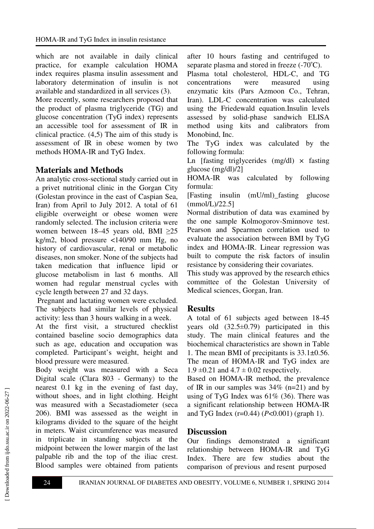which are not available in daily clinical practice, for example calculation HOMA index requires plasma insulin assessment and laboratory determination of insulin is not available and standardized in all services (3).

More recently, some researchers proposed that the product of plasma triglyceride (TG) and glucose concentration (TyG index) represents an accessible tool for assessment of IR in clinical practice. (4,5) The aim of this study is assessment of IR in obese women by two methods HOMA-IR and TyG Index.

# **Materials and Methods**

An analytic cross-sectional study carried out in a privet nutritional clinic in the Gorgan City (Golestan province in the east of Caspian Sea, Iran) from April to July 2012. A total of 61 eligible overweight or obese women were randomly selected. The inclusion criteria were women between 18–45 years old, BMI ≥25 kg/m2, blood pressure <140/90 mm Hg, no history of cardiovascular, renal or metabolic diseases, non smoker. None of the subjects had taken medication that influence lipid or glucose metabolism in last 6 months. All women had regular menstrual cycles with cycle length between 27 and 32 days.

 Pregnant and lactating women were excluded. The subjects had similar levels of physical activity: less than 3 hours walking in a week.

At the first visit, a structured checklist contained baseline socio demographics data such as age, education and occupation was completed. Participant's weight, height and blood pressure were measured.

Body weight was measured with a Seca Digital scale (Clara 803 - Germany) to the nearest 0.1 kg in the evening of fast day, without shoes, and in light clothing. Height was measured with a Secastadiometer (seca 206). BMI was assessed as the weight in kilograms divided to the square of the height in meters. Waist circumference was measured in triplicate in standing subjects at the midpoint between the lower margin of the last palpable rib and the top of the iliac crest. Blood samples were obtained from patients after 10 hours fasting and centrifuged to separate plasma and stored in freeze  $(-70^{\circ}C)$ .

Plasma total cholesterol, HDL-C, and TG concentrations were measured using enzymatic kits (Pars Azmoon Co., Tehran, Iran). LDL-C concentration was calculated using the Friedewald equation.Insulin levels assessed by solid-phase sandwich ELISA method using kits and calibrators from Monobind, Inc.

The TyG index was calculated by the following formula:

Ln [fasting triglycerides  $(mg/dl) \times$  fasting glucose (mg/dl)/2]

HOMA-IR was calculated by following formula:

[Fasting insulin (mU/ml)\_fasting glucose  $(mmol/L)/22.5$ ]

Normal distribution of data was examined by the one sample Kolmogorov-Sminnove test. Pearson and Spearmen correlation used to evaluate the association between BMI by TyG index and HOMA-IR. Linear regression was built to compute the risk factors of insulin resistance by considering their covariates.

This study was approved by the research ethics committee of the Golestan University of Medical sciences, Gorgan, Iran.

# **Results**

A total of 61 subjects aged between 18-45 years old  $(32.5\pm0.79)$  participated in this study. The main clinical features and the biochemical characteristics are shown in Table 1. The mean BMI of precipitants is 33.1±0.56. The mean of HOMA-IR and TyG index are 1.9  $\pm$ 0.21 and 4.7  $\pm$  0.02 respectively.

Based on HOMA-IR method, the prevalence of IR in our samples was  $34\%$  (n=21) and by using of TyG Index was  $61\%$  (36). There was a significant relationship between HOMA-IR and TyG Index (r=0.44) (*P*<0.001) (graph 1).

## **Discussion**

Our findings demonstrated a significant relationship between HOMA-IR and TyG Index. There are few studies about the comparison of previous and resent purposed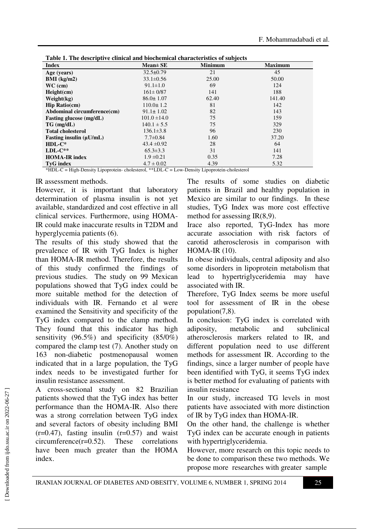| <b>Index</b>                 | $Mean \pm SE$    | <b>Minimum</b> | <b>Maximum</b> |
|------------------------------|------------------|----------------|----------------|
| Age (years)                  | $32.5 \pm 0.79$  | 21             | 45             |
| $BMI$ (kg/m2)                | $33.1 \pm 0.56$  | 25.00          | 50.00          |
| $WC$ (cm)                    | $91.1 \pm 1.0$   | 69             | 124            |
| Height(cm)                   | $161 \pm 0/87$   | 141            | 188            |
| Weight(kg)                   | $86.0 \pm 1.07$  | 62.40          | 141.40         |
| $\mathbf{Hip}$ Ratio(cm)     | $110.0 \pm 1.2$  | 81             | 142            |
| Abdominal circumference(cm)  | $91.1 \pm 1.02$  | 82             | 143            |
| Fasting glucose (mg/dL)      | $101.0 \pm 14.0$ | 75             | 159            |
| $TG$ (mg/dL)                 | $140.1 \pm 5.5$  | 75             | 329            |
| <b>Total cholesterol</b>     | $136.1 \pm 3.8$  | 96             | 230            |
| Fasting insulin $(\mu U/mL)$ | $7.7 \pm 0.84$   | 1.60           | 37.20          |
| $HDL-C^*$                    | $43.4 \pm 0.92$  | 28             | 64             |
| $LDL-C**$                    | $65.3 \pm 3.3$   | 31             | 141            |
| <b>HOMA-IR index</b>         | $1.9 \pm 0.21$   | 0.35           | 7.28           |
| <b>TyG</b> index             | $4.7 \pm 0.02$   | 4.39           | 5.32           |

**Table 1. The descriptive clinical and biochemical characteristics of subjects** 

\*HDL-C = High-Density Lipoprotein- cholesterol, \*\*LDL-C = Low-Density Lipoprotein-cholesterol

### IR assessment methods.

However, it is important that laboratory determination of plasma insulin is not yet available, standardized and cost effective in all clinical services. Furthermore, using HOMA-IR could make inaccurate results in T2DM and hyperglycemia patients (6).

The results of this study showed that the prevalence of IR with TyG Index is higher than HOMA-IR method. Therefore, the results of this study confirmed the findings of previous studies. The study on 99 Mexican populations showed that TyG index could be more suitable method for the detection of individuals with IR. Fernando et al were examined the Sensitivity and specificity of the TyG index compared to the clamp method. They found that this indicator has high sensitivity (96.5%) and specificity (85/0%) compared the clamp test (7). Another study on 163 non-diabetic postmenopausal women indicated that in a large population, the TyG index needs to be investigated further for insulin resistance assessment.

A cross-sectional study on 82 Brazilian patients showed that the TyG index has better performance than the HOMA-IR. Also there was a strong correlation between TyG index and several factors of obesity including BMI  $(r=0.47)$ , fasting insulin  $(r=0.57)$  and waist circumference(r=0.52). These correlations have been much greater than the HOMA index.

The results of some studies on diabetic patients in Brazil and healthy population in Mexico are similar to our findings. In these studies, TyG Index was more cost effective method for assessing IR(8,9).

Irace also reported, TyG-Index has more accurate association with risk factors of carotid atherosclerosis in comparison with HOMA-IR (10).

In obese individuals, central adiposity and also some disorders in lipoprotein metabolism that lead to hypertriglyceridemia may have associated with IR.

Therefore, TyG Index seems be more useful tool for assessment of IR in the obese population(7,8).

In conclusion: TyG index is correlated with adiposity, metabolic and subclinical atherosclerosis markers related to IR, and different population need to use different methods for assessment IR. According to the findings, since a larger number of people have been identified with TyG, it seems TyG index is better method for evaluating of patients with insulin resistance

In our study, increased TG levels in most patients have associated with more distinction of IR by TyG index than HOMA-IR.

On the other hand, the challenge is whether TyG index can be accurate enough in patients with hypertriglyceridemia.

However, more research on this topic needs to be done to comparison these two methods. We propose more researches with greater sample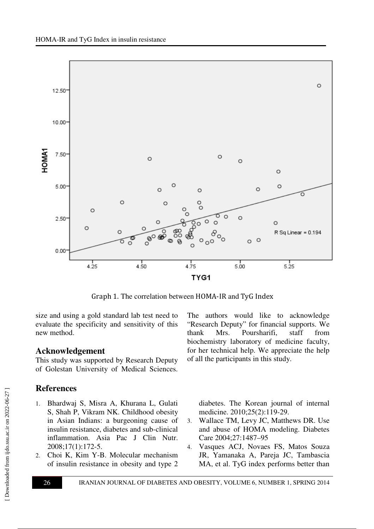

Graph 1. The correlation between HOMA-IR and TyG Index

size and using a gold standard lab test need to evaluate the specificity and sensitivity of this new method.

## **Acknowledgement**

This study was supported by Research Deputy of Golestan University of Medical Sciences.

# **References**

- 1. Bhardwaj S, Misra A, Khurana L, Gulati S, Shah P, Vikram NK. Childhood obesity in Asian Indians: a burgeoning cause of insulin resistance, diabetes and sub-clinical inflammation. Asia Pac J Clin Nutr. 2008;17(1):172-5.
- 2. Choi K, Kim Y-B. Molecular mechanism of insulin resistance in obesity and type 2

The authors would like to acknowledge "Research Deputy" for financial supports. We thank Mrs. Poursharifi, staff from biochemistry laboratory of medicine faculty, for her technical help. We appreciate the help of all the participants in this study.

diabetes. The Korean journal of internal medicine. 2010;25(2):119-29.

- 3. Wallace TM, Levy JC, Matthews DR. Use and abuse of HOMA modeling. Diabetes Care 2004;27:1487–95
- 4. Vasques ACJ, Novaes FS, Matos Souza JR, Yamanaka A, Pareja JC, Tambascia MA, et al. TyG index performs better than